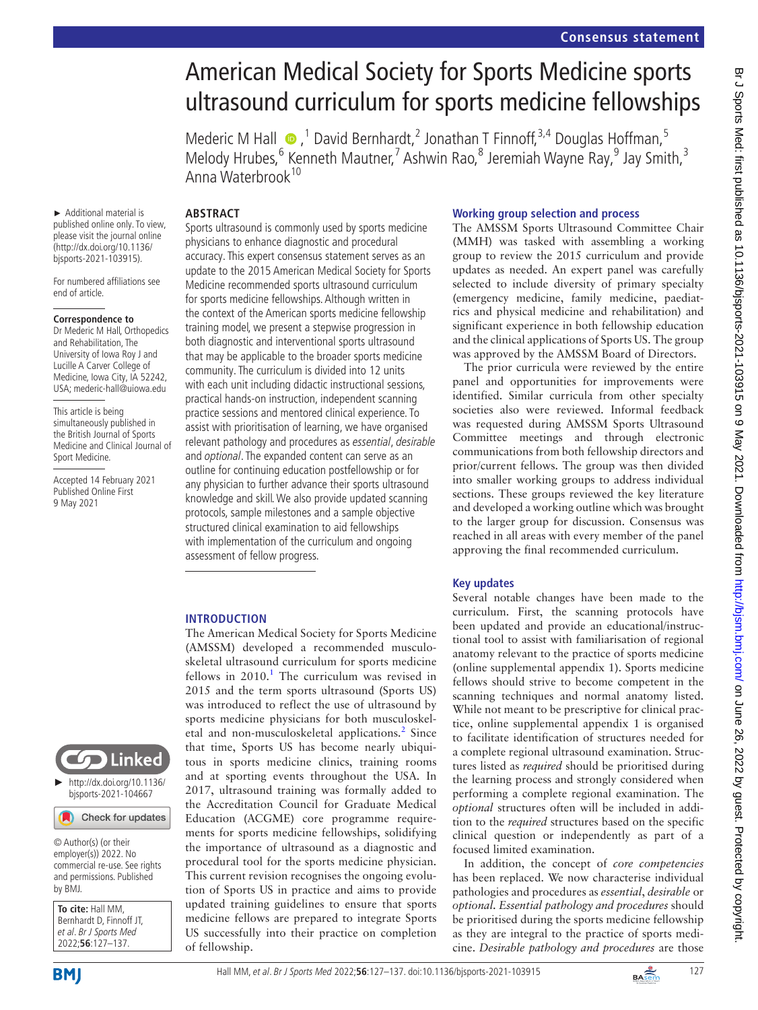# American Medical Society for Sports Medicine sports ultrasound curriculum for sports medicine fellowships

Mederic M Hall  $\bullet$ , <sup>1</sup> David Bernhardt, <sup>2</sup> Jonathan T Finnoff, <sup>3,4</sup> Douglas Hoffman, <sup>5</sup> Melody Hrubes,<sup>6</sup> Kenneth Mautner,<sup>7</sup> Ashwin Rao,<sup>8</sup> Jeremiah Wayne Ray,<sup>9</sup> Jay Smith,<sup>3</sup> Anna Waterbrook<sup>10</sup>

### **ABSTRACT**

► Additional material is published online only. To view, please visit the journal online [\(http://dx.doi.org/10.1136/](http://dx.doi.org/10.1136/bjsports-2021-103915) [bjsports-2021-103915\)](http://dx.doi.org/10.1136/bjsports-2021-103915).

For numbered affiliations see end of article.

#### **Correspondence to**

Dr Mederic M Hall, Orthopedics and Rehabilitation, The University of Iowa Roy J and Lucille A Carver College of Medicine, Iowa City, IA 52242, USA; mederic-hall@uiowa.edu

This article is being simultaneously published in the British Journal of Sports Medicine and Clinical Journal of Sport Medicine.

Accepted 14 February 2021 Published Online First 9 May 2021

Sports ultrasound is commonly used by sports medicine physicians to enhance diagnostic and procedural accuracy. This expert consensus statement serves as an update to the 2015 American Medical Society for Sports Medicine recommended sports ultrasound curriculum for sports medicine fellowships. Although written in the context of the American sports medicine fellowship training model, we present a stepwise progression in both diagnostic and interventional sports ultrasound that may be applicable to the broader sports medicine community. The curriculum is divided into 12 units with each unit including didactic instructional sessions, practical hands-on instruction, independent scanning practice sessions and mentored clinical experience. To assist with prioritisation of learning, we have organised relevant pathology and procedures as essential, desirable and optional. The expanded content can serve as an outline for continuing education postfellowship or for any physician to further advance their sports ultrasound knowledge and skill. We also provide updated scanning protocols, sample milestones and a sample objective structured clinical examination to aid fellowships with implementation of the curriculum and ongoing assessment of fellow progress.

### **INTRODUCTION**

The American Medical Society for Sports Medicine (AMSSM) developed a recommended musculoskeletal ultrasound curriculum for sports medicine fellows in  $2010$  $2010$  $2010$ .<sup>1</sup> The curriculum was revised in 2015 and the term sports ultrasound (Sports US) was introduced to reflect the use of ultrasound by sports medicine physicians for both musculoskel-etal and non-musculoskeletal applications.<sup>[2](#page-10-1)</sup> Since that time, Sports US has become nearly ubiquitous in sports medicine clinics, training rooms and at sporting events throughout the USA. In 2017, ultrasound training was formally added to the Accreditation Council for Graduate Medical Education (ACGME) core programme requirements for sports medicine fellowships, solidifying the importance of ultrasound as a diagnostic and procedural tool for the sports medicine physician. This current revision recognises the ongoing evolution of Sports US in practice and aims to provide updated training guidelines to ensure that sports medicine fellows are prepared to integrate Sports US successfully into their practice on completion of fellowship.

#### **Working group selection and process**

The AMSSM Sports Ultrasound Committee Chair (MMH) was tasked with assembling a working group to review the 2015 curriculum and provide updates as needed. An expert panel was carefully selected to include diversity of primary specialty (emergency medicine, family medicine, paediatrics and physical medicine and rehabilitation) and significant experience in both fellowship education and the clinical applications of Sports US. The group was approved by the AMSSM Board of Directors.

The prior curricula were reviewed by the entire panel and opportunities for improvements were identified. Similar curricula from other specialty societies also were reviewed. Informal feedback was requested during AMSSM Sports Ultrasound Committee meetings and through electronic communications from both fellowship directors and prior/current fellows. The group was then divided into smaller working groups to address individual sections. These groups reviewed the key literature and developed a working outline which was brought to the larger group for discussion. Consensus was reached in all areas with every member of the panel approving the final recommended curriculum.

### **Key updates**

Several notable changes have been made to the curriculum. First, the scanning protocols have been updated and provide an educational/instructional tool to assist with familiarisation of regional anatomy relevant to the practice of sports medicine ([online supplemental appendix 1](https://dx.doi.org/10.1136/bjsports-2021-103915)). Sports medicine fellows should strive to become competent in the scanning techniques and normal anatomy listed. While not meant to be prescriptive for clinical practice, [online supplemental appendix 1](https://dx.doi.org/10.1136/bjsports-2021-103915) is organised to facilitate identification of structures needed for a complete regional ultrasound examination. Structures listed as *required* should be prioritised during the learning process and strongly considered when performing a complete regional examination. The *optional* structures often will be included in addition to the *required* structures based on the specific clinical question or independently as part of a focused limited examination.

In addition, the concept of *core competencies* has been replaced. We now characterise individual pathologies and procedures as *essential*, *desirable* or *optional. Essential pathology and procedures* should be prioritised during the sports medicine fellowship as they are integral to the practice of sports medicine. *Desirable pathology and procedures* are those



© Author(s) (or their employer(s)) 2022. No commercial re-use. See rights and permissions. Published by BMJ.

**To cite:** Hall MM, Bernhardt D, Finnoff JT, et al. Br J Sports Med 2022;**56**:127–137.

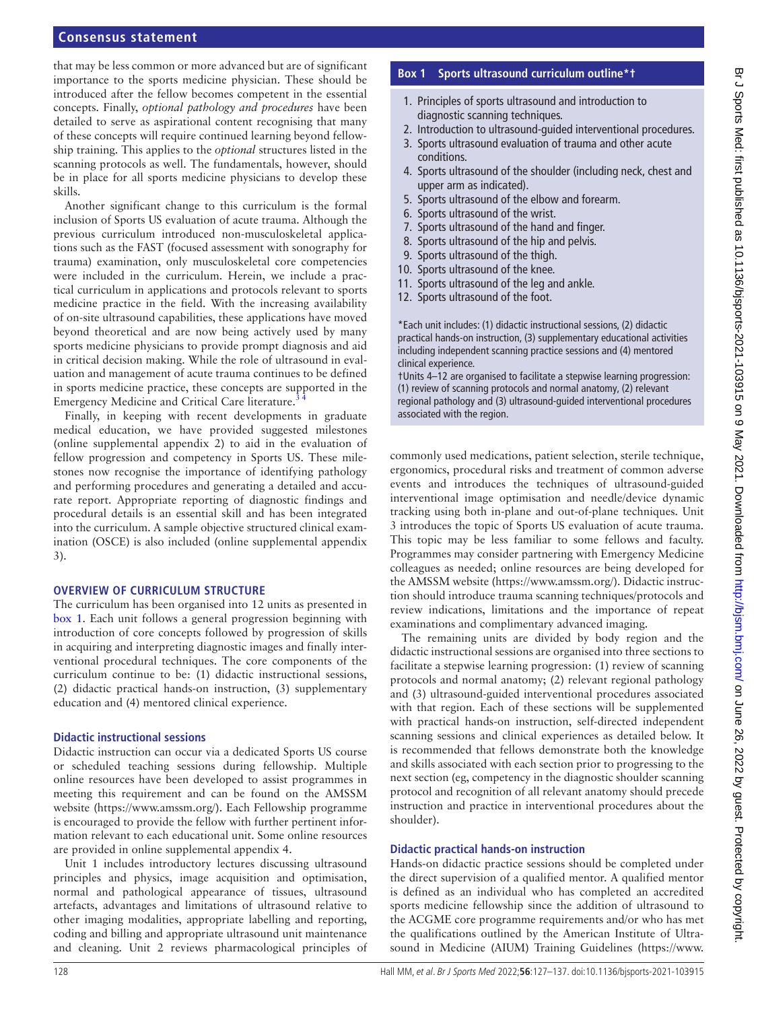that may be less common or more advanced but are of significant importance to the sports medicine physician. These should be introduced after the fellow becomes competent in the essential concepts. Finally, *optional pathology and procedures* have been detailed to serve as aspirational content recognising that many of these concepts will require continued learning beyond fellowship training. This applies to the *optional* structures listed in the scanning protocols as well. The fundamentals, however, should be in place for all sports medicine physicians to develop these skills.

Another significant change to this curriculum is the formal inclusion of Sports US evaluation of acute trauma. Although the previous curriculum introduced non-musculoskeletal applications such as the FAST (focused assessment with sonography for trauma) examination, only musculoskeletal core competencies were included in the curriculum. Herein, we include a practical curriculum in applications and protocols relevant to sports medicine practice in the field. With the increasing availability of on-site ultrasound capabilities, these applications have moved beyond theoretical and are now being actively used by many sports medicine physicians to provide prompt diagnosis and aid in critical decision making. While the role of ultrasound in evaluation and management of acute trauma continues to be defined in sports medicine practice, these concepts are supported in the Emergency Medicine and Critical Care literature.<sup>3</sup>

Finally, in keeping with recent developments in graduate medical education, we have provided suggested milestones ([online supplemental appendix 2\)](https://dx.doi.org/10.1136/bjsports-2021-103915) to aid in the evaluation of fellow progression and competency in Sports US. These milestones now recognise the importance of identifying pathology and performing procedures and generating a detailed and accurate report. Appropriate reporting of diagnostic findings and procedural details is an essential skill and has been integrated into the curriculum. A sample objective structured clinical examination (OSCE) is also included [\(online supplemental appendix](https://dx.doi.org/10.1136/bjsports-2021-103915)  [3](https://dx.doi.org/10.1136/bjsports-2021-103915)).

#### **OVERVIEW OF CURRICULUM STRUCTURE**

The curriculum has been organised into 12 units as presented in [box](#page-1-0) 1. Each unit follows a general progression beginning with introduction of core concepts followed by progression of skills in acquiring and interpreting diagnostic images and finally interventional procedural techniques. The core components of the curriculum continue to be: (1) didactic instructional sessions, (2) didactic practical hands-on instruction, (3) supplementary education and (4) mentored clinical experience.

#### **Didactic instructional sessions**

Didactic instruction can occur via a dedicated Sports US course or scheduled teaching sessions during fellowship. Multiple online resources have been developed to assist programmes in meeting this requirement and can be found on the AMSSM website (<https://www.amssm.org/>). Each Fellowship programme is encouraged to provide the fellow with further pertinent information relevant to each educational unit. Some online resources are provided in [online supplemental appendix 4](https://dx.doi.org/10.1136/bjsports-2021-103915).

Unit 1 includes introductory lectures discussing ultrasound principles and physics, image acquisition and optimisation, normal and pathological appearance of tissues, ultrasound artefacts, advantages and limitations of ultrasound relative to other imaging modalities, appropriate labelling and reporting, coding and billing and appropriate ultrasound unit maintenance and cleaning. Unit 2 reviews pharmacological principles of

#### **Box 1 Sports ultrasound curriculum outline\*†**

- <span id="page-1-0"></span>1. Principles of sports ultrasound and introduction to diagnostic scanning techniques.
- 2. Introduction to ultrasound-guided interventional procedures.
- 3. Sports ultrasound evaluation of trauma and other acute conditions.
- 4. Sports ultrasound of the shoulder (including neck, chest and upper arm as indicated).
- 5. Sports ultrasound of the elbow and forearm.
- 6. Sports ultrasound of the wrist.
- 7. Sports ultrasound of the hand and finger.
- 8. Sports ultrasound of the hip and pelvis.
- 9. Sports ultrasound of the thigh.
- 10. Sports ultrasound of the knee.
- 11. Sports ultrasound of the leg and ankle.
- 12. Sports ultrasound of the foot.

\*Each unit includes: (1) didactic instructional sessions, (2) didactic practical hands-on instruction, (3) supplementary educational activities including independent scanning practice sessions and (4) mentored clinical experience.

†Units 4–12 are organised to facilitate a stepwise learning progression: (1) review of scanning protocols and normal anatomy, (2) relevant regional pathology and (3) ultrasound-guided interventional procedures associated with the region.

commonly used medications, patient selection, sterile technique, ergonomics, procedural risks and treatment of common adverse events and introduces the techniques of ultrasound-guided interventional image optimisation and needle/device dynamic tracking using both in-plane and out-of-plane techniques. Unit 3 introduces the topic of Sports US evaluation of acute trauma. This topic may be less familiar to some fellows and faculty. Programmes may consider partnering with Emergency Medicine colleagues as needed; online resources are being developed for the AMSSM website [\(https://www.amssm.org/](https://www.amssm.org/)). Didactic instruction should introduce trauma scanning techniques/protocols and review indications, limitations and the importance of repeat examinations and complimentary advanced imaging.

The remaining units are divided by body region and the didactic instructional sessions are organised into three sections to facilitate a stepwise learning progression: (1) review of scanning protocols and normal anatomy; (2) relevant regional pathology and (3) ultrasound-guided interventional procedures associated with that region. Each of these sections will be supplemented with practical hands-on instruction, self-directed independent scanning sessions and clinical experiences as detailed below. It is recommended that fellows demonstrate both the knowledge and skills associated with each section prior to progressing to the next section (eg, competency in the diagnostic shoulder scanning protocol and recognition of all relevant anatomy should precede instruction and practice in interventional procedures about the shoulder).

#### **Didactic practical hands-on instruction**

Hands-on didactic practice sessions should be completed under the direct supervision of a qualified mentor. A qualified mentor is defined as an individual who has completed an accredited sports medicine fellowship since the addition of ultrasound to the ACGME core programme requirements and/or who has met the qualifications outlined by the American Institute of Ultrasound in Medicine (AIUM) Training Guidelines [\(https://www.](https://www.aium.org/)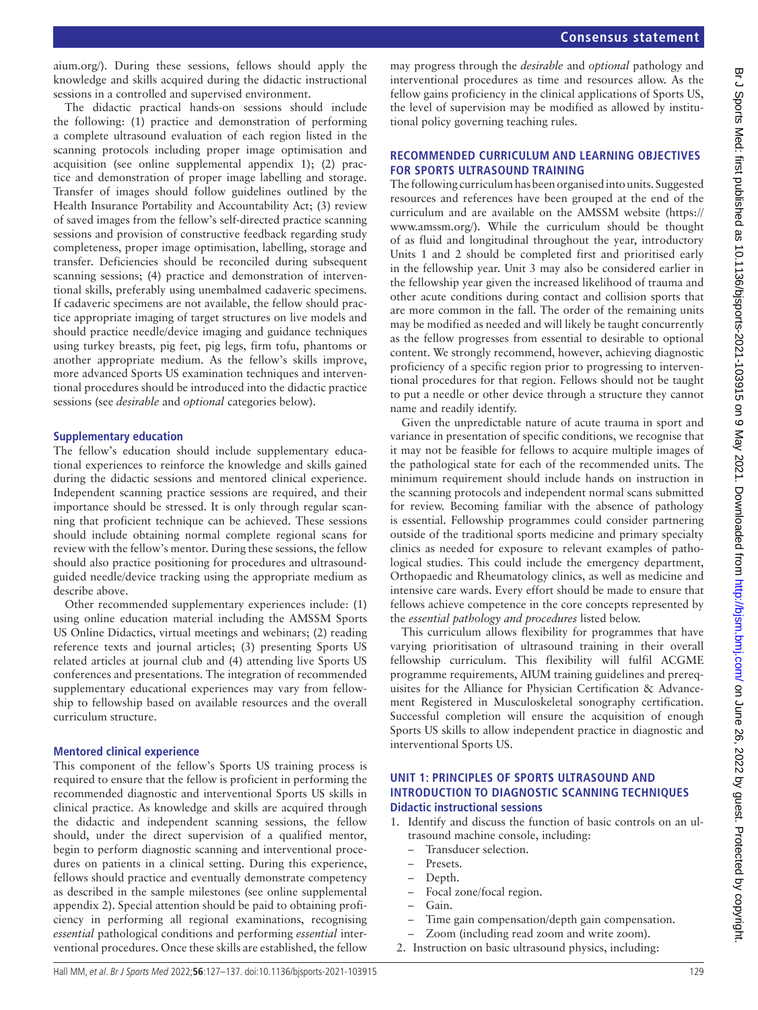Br J Sports Med: first published as 10.1136/bjsports-2021-103915 on 9 May 2021. Downloaded from http://bjsm.bmj.com/ on June 26, 2022 by guest. Protected by copyright

Br J Sports Med: first published as 10.1136/bjsports-2021-103915 on 9 May 2021. Downloaded from <http://bjsm.bmj.com/> on June 26, 2022 by guest. Protected by copyright.

[aium.org/](https://www.aium.org/)). During these sessions, fellows should apply the knowledge and skills acquired during the didactic instructional sessions in a controlled and supervised environment.

The didactic practical hands-on sessions should include the following: (1) practice and demonstration of performing a complete ultrasound evaluation of each region listed in the scanning protocols including proper image optimisation and acquisition (see [online supplemental appendix 1](https://dx.doi.org/10.1136/bjsports-2021-103915)); (2) practice and demonstration of proper image labelling and storage. Transfer of images should follow guidelines outlined by the Health Insurance Portability and Accountability Act; (3) review of saved images from the fellow's self-directed practice scanning sessions and provision of constructive feedback regarding study completeness, proper image optimisation, labelling, storage and transfer. Deficiencies should be reconciled during subsequent scanning sessions; (4) practice and demonstration of interventional skills, preferably using unembalmed cadaveric specimens. If cadaveric specimens are not available, the fellow should practice appropriate imaging of target structures on live models and should practice needle/device imaging and guidance techniques using turkey breasts, pig feet, pig legs, firm tofu, phantoms or another appropriate medium. As the fellow's skills improve, more advanced Sports US examination techniques and interventional procedures should be introduced into the didactic practice sessions (see *desirable* and *optional* categories below).

### **Supplementary education**

The fellow's education should include supplementary educational experiences to reinforce the knowledge and skills gained during the didactic sessions and mentored clinical experience. Independent scanning practice sessions are required, and their importance should be stressed. It is only through regular scanning that proficient technique can be achieved. These sessions should include obtaining normal complete regional scans for review with the fellow's mentor. During these sessions, the fellow should also practice positioning for procedures and ultrasoundguided needle/device tracking using the appropriate medium as describe above.

Other recommended supplementary experiences include: (1) using online education material including the AMSSM Sports US Online Didactics, virtual meetings and webinars; (2) reading reference texts and journal articles; (3) presenting Sports US related articles at journal club and (4) attending live Sports US conferences and presentations. The integration of recommended supplementary educational experiences may vary from fellowship to fellowship based on available resources and the overall curriculum structure.

### **Mentored clinical experience**

This component of the fellow's Sports US training process is required to ensure that the fellow is proficient in performing the recommended diagnostic and interventional Sports US skills in clinical practice. As knowledge and skills are acquired through the didactic and independent scanning sessions, the fellow should, under the direct supervision of a qualified mentor, begin to perform diagnostic scanning and interventional procedures on patients in a clinical setting. During this experience, fellows should practice and eventually demonstrate competency as described in the sample milestones (see [online supplemental](https://dx.doi.org/10.1136/bjsports-2021-103915)  [appendix 2](https://dx.doi.org/10.1136/bjsports-2021-103915)). Special attention should be paid to obtaining proficiency in performing all regional examinations, recognising *essential* pathological conditions and performing *essential* interventional procedures. Once these skills are established, the fellow

may progress through the *desirable* and *optional* pathology and interventional procedures as time and resources allow. As the fellow gains proficiency in the clinical applications of Sports US, the level of supervision may be modified as allowed by institutional policy governing teaching rules.

#### **RECOMMENDED CURRICULUM AND LEARNING OBJECTIVES FOR SPORTS ULTRASOUND TRAINING**

The following curriculum has been organised into units. Suggested resources and references have been grouped at the end of the curriculum and are available on the AMSSM website [\(https://](https://www.amssm.org/) [www.amssm.org/](https://www.amssm.org/)). While the curriculum should be thought of as fluid and longitudinal throughout the year, introductory Units 1 and 2 should be completed first and prioritised early in the fellowship year. Unit 3 may also be considered earlier in the fellowship year given the increased likelihood of trauma and other acute conditions during contact and collision sports that are more common in the fall. The order of the remaining units may be modified as needed and will likely be taught concurrently as the fellow progresses from essential to desirable to optional content. We strongly recommend, however, achieving diagnostic proficiency of a specific region prior to progressing to interventional procedures for that region. Fellows should not be taught to put a needle or other device through a structure they cannot name and readily identify.

Given the unpredictable nature of acute trauma in sport and variance in presentation of specific conditions, we recognise that it may not be feasible for fellows to acquire multiple images of the pathological state for each of the recommended units. The minimum requirement should include hands on instruction in the scanning protocols and independent normal scans submitted for review. Becoming familiar with the absence of pathology is essential. Fellowship programmes could consider partnering outside of the traditional sports medicine and primary specialty clinics as needed for exposure to relevant examples of pathological studies. This could include the emergency department, Orthopaedic and Rheumatology clinics, as well as medicine and intensive care wards. Every effort should be made to ensure that fellows achieve competence in the core concepts represented by the *essential pathology and procedures* listed below.

This curriculum allows flexibility for programmes that have varying prioritisation of ultrasound training in their overall fellowship curriculum. This flexibility will fulfil ACGME programme requirements, AIUM training guidelines and prerequisites for the Alliance for Physician Certification & Advancement Registered in Musculoskeletal sonography certification. Successful completion will ensure the acquisition of enough Sports US skills to allow independent practice in diagnostic and interventional Sports US.

#### **UNIT 1: PRINCIPLES OF SPORTS ULTRASOUND AND INTRODUCTION TO DIAGNOSTIC SCANNING TECHNIQUES Didactic instructional sessions**

- 1. Identify and discuss the function of basic controls on an ultrasound machine console, including:
	- Transducer selection.
	- Presets.
	- Depth.
	- Focal zone/focal region.
	- Gain.
	- Time gain compensation/depth gain compensation.
	- Zoom (including read zoom and write zoom).
- 2. Instruction on basic ultrasound physics, including: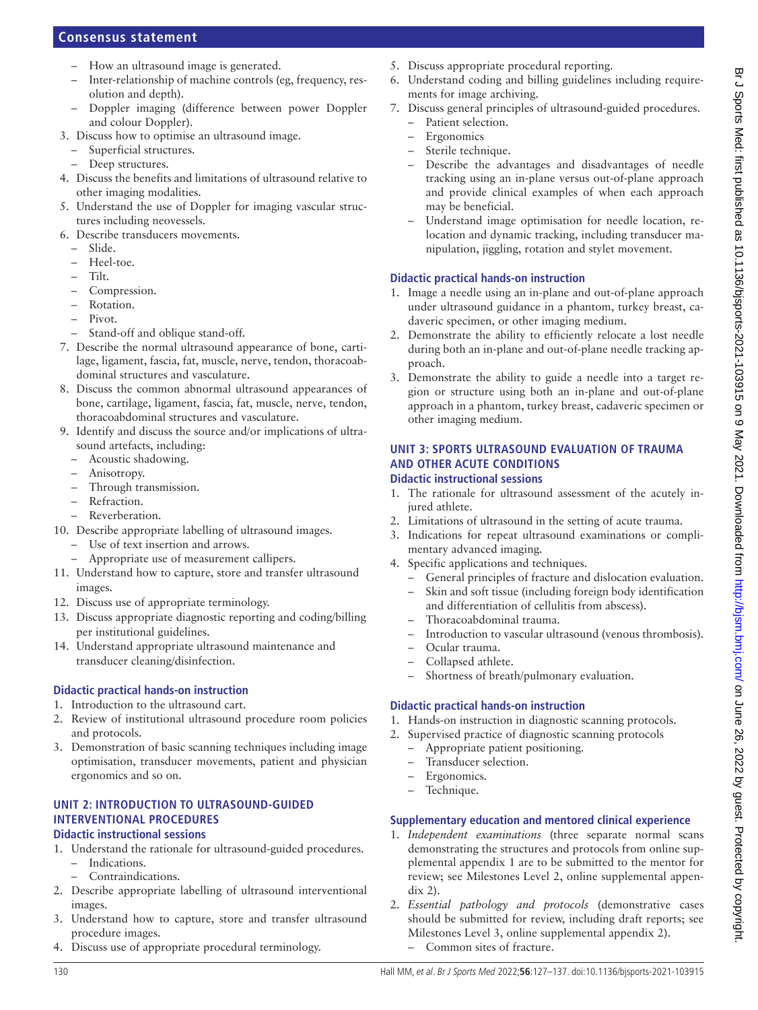- How an ultrasound image is generated.
- Inter-relationship of machine controls (eg, frequency, resolution and depth).
- Doppler imaging (difference between power Doppler and colour Doppler).
- 3. Discuss how to optimise an ultrasound image.
	- Superficial structures.
	- Deep structures.
- 4. Discuss the benefits and limitations of ultrasound relative to other imaging modalities.
- 5. Understand the use of Doppler for imaging vascular structures including neovessels.
- 6. Describe transducers movements.
- Slide.
	- Heel-toe.
	- Tilt.
	- Compression.
	- Rotation.
	- Pivot.
	- Stand-off and oblique stand-off.
- 7. Describe the normal ultrasound appearance of bone, cartilage, ligament, fascia, fat, muscle, nerve, tendon, thoracoabdominal structures and vasculature.
- 8. Discuss the common abnormal ultrasound appearances of bone, cartilage, ligament, fascia, fat, muscle, nerve, tendon, thoracoabdominal structures and vasculature.
- 9. Identify and discuss the source and/or implications of ultrasound artefacts, including:
	- Acoustic shadowing.
	- Anisotropy.
	- Through transmission.
	- Refraction.
	- Reverberation.
- 10. Describe appropriate labelling of ultrasound images.
	- Use of text insertion and arrows.
	- Appropriate use of measurement callipers.
- 11. Understand how to capture, store and transfer ultrasound images.
- 12. Discuss use of appropriate terminology.
- 13. Discuss appropriate diagnostic reporting and coding/billing per institutional guidelines.
- 14. Understand appropriate ultrasound maintenance and transducer cleaning/disinfection.

### **Didactic practical hands-on instruction**

- 1. Introduction to the ultrasound cart.
- 2. Review of institutional ultrasound procedure room policies and protocols.
- 3. Demonstration of basic scanning techniques including image optimisation, transducer movements, patient and physician ergonomics and so on.

#### **UNIT 2: INTRODUCTION TO ULTRASOUND-GUIDED INTERVENTIONAL PROCEDURES Didactic instructional sessions**

- 1. Understand the rationale for ultrasound-guided procedures.
	- Indications.
	- Contraindications.
- 2. Describe appropriate labelling of ultrasound interventional images.
- 3. Understand how to capture, store and transfer ultrasound procedure images.
- 4. Discuss use of appropriate procedural terminology.
- 5. Discuss appropriate procedural reporting.
- 6. Understand coding and billing guidelines including requirements for image archiving.
- 7. Discuss general principles of ultrasound-guided procedures.
	- Patient selection.
	- **Ergonomics**
	- Sterile technique.
	- Describe the advantages and disadvantages of needle tracking using an in-plane versus out-of-plane approach and provide clinical examples of when each approach may be beneficial.
	- Understand image optimisation for needle location, relocation and dynamic tracking, including transducer manipulation, jiggling, rotation and stylet movement.

### **Didactic practical hands-on instruction**

- 1. Image a needle using an in-plane and out-of-plane approach under ultrasound guidance in a phantom, turkey breast, cadaveric specimen, or other imaging medium.
- 2. Demonstrate the ability to efficiently relocate a lost needle during both an in-plane and out-of-plane needle tracking approach.
- 3. Demonstrate the ability to guide a needle into a target region or structure using both an in-plane and out-of-plane approach in a phantom, turkey breast, cadaveric specimen or other imaging medium.

#### **UNIT 3: SPORTS ULTRASOUND EVALUATION OF TRAUMA AND OTHER ACUTE CONDITIONS Didactic instructional sessions**

- 1. The rationale for ultrasound assessment of the acutely injured athlete.
- 2. Limitations of ultrasound in the setting of acute trauma.
- 3. Indications for repeat ultrasound examinations or complimentary advanced imaging.
- 4. Specific applications and techniques.
	- General principles of fracture and dislocation evaluation. – Skin and soft tissue (including foreign body identification and differentiation of cellulitis from abscess).
	- Thoracoabdominal trauma.
	- Introduction to vascular ultrasound (venous thrombosis).
	- Ocular trauma.
	- Collapsed athlete.
	- Shortness of breath/pulmonary evaluation.

### **Didactic practical hands-on instruction**

- 1. Hands-on instruction in diagnostic scanning protocols.
- 2. Supervised practice of diagnostic scanning protocols
	- Appropriate patient positioning.
	- Transducer selection.
	- Ergonomics.
	- Technique.

- 1. *Independent examinations* (three separate normal scans demonstrating the structures and protocols from [online sup](https://dx.doi.org/10.1136/bjsports-2021-103915)[plemental appendix 1](https://dx.doi.org/10.1136/bjsports-2021-103915) are to be submitted to the mentor for review; see Milestones Level 2, [online supplemental appen](https://dx.doi.org/10.1136/bjsports-2021-103915)[dix 2\)](https://dx.doi.org/10.1136/bjsports-2021-103915).
- 2. *Essential pathology and protocols* (demonstrative cases should be submitted for review, including draft reports; see Milestones Level 3, [online supplemental appendix 2\)](https://dx.doi.org/10.1136/bjsports-2021-103915). – Common sites of fracture.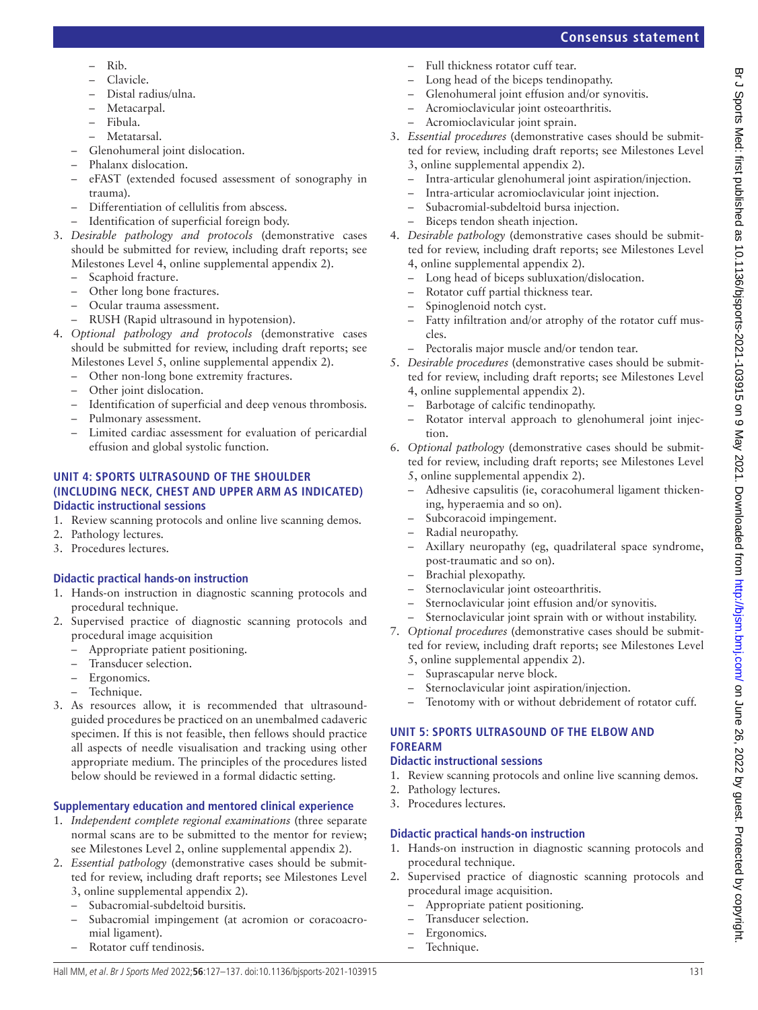- Rib.
- Clavicle.
- Distal radius/ulna.
- Metacarpal.
- Fibula.
- Metatarsal.
- Glenohumeral joint dislocation.
- Phalanx dislocation.
- eFAST (extended focused assessment of sonography in trauma).
- Differentiation of cellulitis from abscess.
- Identification of superficial foreign body.
- 3. *Desirable pathology and protocols* (demonstrative cases should be submitted for review, including draft reports; see Milestones Level 4, [online supplemental appendix 2](https://dx.doi.org/10.1136/bjsports-2021-103915)).
	- Scaphoid fracture.
	- Other long bone fractures.
	- Ocular trauma assessment.
	- RUSH (Rapid ultrasound in hypotension).
- 4. *Optional pathology and protocols* (demonstrative cases should be submitted for review, including draft reports; see Milestones Level 5, [online supplemental appendix 2](https://dx.doi.org/10.1136/bjsports-2021-103915)).
	- Other non-long bone extremity fractures.
	- Other joint dislocation.
	- Identification of superficial and deep venous thrombosis.
	- Pulmonary assessment.
	- Limited cardiac assessment for evaluation of pericardial effusion and global systolic function.

### **UNIT 4: SPORTS ULTRASOUND OF THE SHOULDER (INCLUDING NECK, CHEST AND UPPER ARM AS INDICATED) Didactic instructional sessions**

- 1. Review scanning protocols and online live scanning demos.
- 2. Pathology lectures.
- 3. Procedures lectures.

# **Didactic practical hands-on instruction**

- 1. Hands-on instruction in diagnostic scanning protocols and procedural technique.
- 2. Supervised practice of diagnostic scanning protocols and procedural image acquisition
	- Appropriate patient positioning.
	- Transducer selection.
	- Ergonomics.
	- Technique.
- 3. As resources allow, it is recommended that ultrasoundguided procedures be practiced on an unembalmed cadaveric specimen. If this is not feasible, then fellows should practice all aspects of needle visualisation and tracking using other appropriate medium. The principles of the procedures listed below should be reviewed in a formal didactic setting.

# **Supplementary education and mentored clinical experience**

- 1. *Independent complete regional examinations* (three separate normal scans are to be submitted to the mentor for review; see Milestones Level 2, [online supplemental appendix 2](https://dx.doi.org/10.1136/bjsports-2021-103915)).
- 2. *Essential pathology* (demonstrative cases should be submitted for review, including draft reports; see Milestones Level 3, [online supplemental appendix 2\)](https://dx.doi.org/10.1136/bjsports-2021-103915).
	- Subacromial-subdeltoid bursitis.
	- Subacromial impingement (at acromion or coracoacromial ligament).
	- Rotator cuff tendinosis.
- Full thickness rotator cuff tear.
- Long head of the biceps tendinopathy.
- Glenohumeral joint effusion and/or synovitis.
- Acromioclavicular joint osteoarthritis.
- Acromioclavicular joint sprain.
- 3. *Essential procedures* (demonstrative cases should be submitted for review, including draft reports; see Milestones Level 3, [online supplemental appendix 2](https://dx.doi.org/10.1136/bjsports-2021-103915)).
	- Intra-articular glenohumeral joint aspiration/injection.
	- Intra-articular acromioclavicular joint injection.
	- Subacromial-subdeltoid bursa injection.
	- Biceps tendon sheath injection.
- 4. *Desirable pathology* (demonstrative cases should be submitted for review, including draft reports; see Milestones Level 4, [online supplemental appendix 2](https://dx.doi.org/10.1136/bjsports-2021-103915)).
	- Long head of biceps subluxation/dislocation.
	- Rotator cuff partial thickness tear.
	- Spinoglenoid notch cyst.
	- Fatty infiltration and/or atrophy of the rotator cuff muscles.
	- Pectoralis major muscle and/or tendon tear.
- 5. *Desirable procedures* (demonstrative cases should be submitted for review, including draft reports; see Milestones Level 4, [online supplemental appendix 2](https://dx.doi.org/10.1136/bjsports-2021-103915)).
	- Barbotage of calcific tendinopathy.
	- Rotator interval approach to glenohumeral joint injection.
- 6. *Optional pathology* (demonstrative cases should be submitted for review, including draft reports; see Milestones Level 5, [online supplemental appendix 2](https://dx.doi.org/10.1136/bjsports-2021-103915)).
	- Adhesive capsulitis (ie, coracohumeral ligament thickening, hyperaemia and so on).
	- Subcoracoid impingement.
	- Radial neuropathy.
	- Axillary neuropathy (eg, quadrilateral space syndrome, post-traumatic and so on).
	- Brachial plexopathy.
	- Sternoclavicular joint osteoarthritis.
	- Sternoclavicular joint effusion and/or synovitis.
	- Sternoclavicular joint sprain with or without instability.
- 7. *Optional procedures* (demonstrative cases should be submitted for review, including draft reports; see Milestones Level
	- 5, [online supplemental appendix 2](https://dx.doi.org/10.1136/bjsports-2021-103915)).
	- Suprascapular nerve block.
	- Sternoclavicular joint aspiration/injection.
	- Tenotomy with or without debridement of rotator cuff.

### **UNIT 5: SPORTS ULTRASOUND OF THE ELBOW AND FOREARM**

## **Didactic instructional sessions**

- 1. Review scanning protocols and online live scanning demos.
- 2. Pathology lectures.
- 3. Procedures lectures.

# **Didactic practical hands-on instruction**

- 1. Hands-on instruction in diagnostic scanning protocols and procedural technique.
- 2. Supervised practice of diagnostic scanning protocols and procedural image acquisition.
	- Appropriate patient positioning.
	- Transducer selection.
	- Ergonomics.
	- Technique.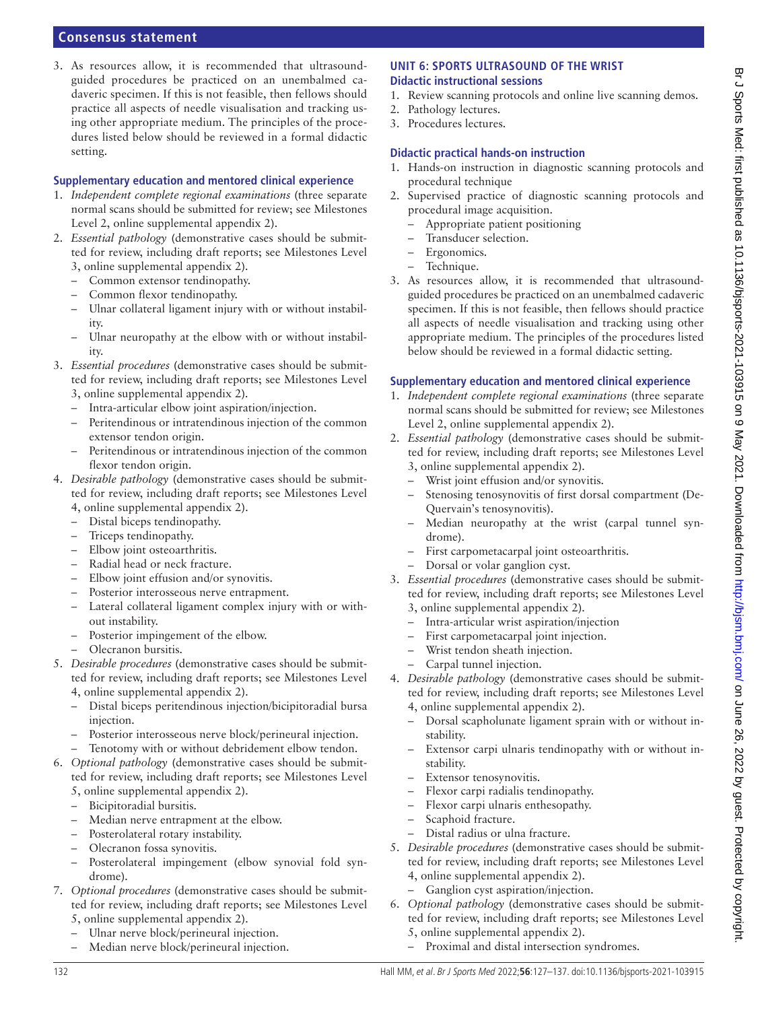3. As resources allow, it is recommended that ultrasoundguided procedures be practiced on an unembalmed cadaveric specimen. If this is not feasible, then fellows should practice all aspects of needle visualisation and tracking using other appropriate medium. The principles of the procedures listed below should be reviewed in a formal didactic setting.

#### **Supplementary education and mentored clinical experience**

- 1. *Independent complete regional examinations* (three separate normal scans should be submitted for review; see Milestones Level 2, [online supplemental appendix 2\)](https://dx.doi.org/10.1136/bjsports-2021-103915).
- 2. *Essential pathology* (demonstrative cases should be submitted for review, including draft reports; see Milestones Level 3, [online supplemental appendix 2\)](https://dx.doi.org/10.1136/bjsports-2021-103915).
	- Common extensor tendinopathy.
	- Common flexor tendinopathy.
	- Ulnar collateral ligament injury with or without instability.
	- Ulnar neuropathy at the elbow with or without instability.
- 3. *Essential procedures* (demonstrative cases should be submitted for review, including draft reports; see Milestones Level 3, [online supplemental appendix 2\)](https://dx.doi.org/10.1136/bjsports-2021-103915).
	- Intra-articular elbow joint aspiration/injection.
	- Peritendinous or intratendinous injection of the common extensor tendon origin.
	- Peritendinous or intratendinous injection of the common flexor tendon origin.
- 4. *Desirable pathology* (demonstrative cases should be submitted for review, including draft reports; see Milestones Level 4, [online supplemental appendix 2\)](https://dx.doi.org/10.1136/bjsports-2021-103915).
	- Distal biceps tendinopathy.
	- Triceps tendinopathy.
	- Elbow joint osteoarthritis.
	- Radial head or neck fracture.
	- Elbow joint effusion and/or synovitis.
	- Posterior interosseous nerve entrapment.
	- Lateral collateral ligament complex injury with or without instability.
	- Posterior impingement of the elbow.
	- Olecranon bursitis.
- 5. *Desirable procedures* (demonstrative cases should be submitted for review, including draft reports; see Milestones Level 4, [online supplemental appendix 2\)](https://dx.doi.org/10.1136/bjsports-2021-103915).
	- Distal biceps peritendinous injection/bicipitoradial bursa injection.
	- Posterior interosseous nerve block/perineural injection.
	- Tenotomy with or without debridement elbow tendon.
- 6. *Optional pathology* (demonstrative cases should be submitted for review, including draft reports; see Milestones Level 5, [online supplemental appendix 2\)](https://dx.doi.org/10.1136/bjsports-2021-103915).
	- Bicipitoradial bursitis.
	- Median nerve entrapment at the elbow.
	- Posterolateral rotary instability.
	- Olecranon fossa synovitis.
	- Posterolateral impingement (elbow synovial fold syndrome).
- 7. *Optional procedures* (demonstrative cases should be submitted for review, including draft reports; see Milestones Level 5, [online supplemental appendix 2\)](https://dx.doi.org/10.1136/bjsports-2021-103915).
	- Ulnar nerve block/perineural injection.
	- Median nerve block/perineural injection.

#### **UNIT 6: SPORTS ULTRASOUND OF THE WRIST Didactic instructional sessions**

- 1. Review scanning protocols and online live scanning demos.
- 2. Pathology lectures.
- 3. Procedures lectures.

#### **Didactic practical hands-on instruction**

- 1. Hands-on instruction in diagnostic scanning protocols and procedural technique
- 2. Supervised practice of diagnostic scanning protocols and procedural image acquisition.
	- Appropriate patient positioning
	- Transducer selection.
	- Ergonomics.
	- Technique.
- 3. As resources allow, it is recommended that ultrasoundguided procedures be practiced on an unembalmed cadaveric specimen. If this is not feasible, then fellows should practice all aspects of needle visualisation and tracking using other appropriate medium. The principles of the procedures listed below should be reviewed in a formal didactic setting.

- 1. *Independent complete regional examinations* (three separate normal scans should be submitted for review; see Milestones Level 2, [online supplemental appendix 2](https://dx.doi.org/10.1136/bjsports-2021-103915)).
- 2. *Essential pathology* (demonstrative cases should be submitted for review, including draft reports; see Milestones Level 3, [online supplemental appendix 2](https://dx.doi.org/10.1136/bjsports-2021-103915)).
	- Wrist joint effusion and/or synovitis.
	- Stenosing tenosynovitis of first dorsal compartment (De-Quervain's tenosynovitis).
	- Median neuropathy at the wrist (carpal tunnel syndrome).
	- First carpometacarpal joint osteoarthritis.
	- Dorsal or volar ganglion cyst.
- 3. *Essential procedures* (demonstrative cases should be submitted for review, including draft reports; see Milestones Level 3, [online supplemental appendix 2](https://dx.doi.org/10.1136/bjsports-2021-103915)).
	- Intra-articular wrist aspiration/injection
	- First carpometacarpal joint injection.
	- Wrist tendon sheath injection.
	- Carpal tunnel injection.
- 4. *Desirable pathology* (demonstrative cases should be submitted for review, including draft reports; see Milestones Level 4, [online supplemental appendix 2](https://dx.doi.org/10.1136/bjsports-2021-103915)).
	- Dorsal scapholunate ligament sprain with or without instability.
	- Extensor carpi ulnaris tendinopathy with or without instability.
	- Extensor tenosynovitis.
	- Flexor carpi radialis tendinopathy.
	- Flexor carpi ulnaris enthesopathy.
	- Scaphoid fracture.
	- Distal radius or ulna fracture.
- 5. *Desirable procedures* (demonstrative cases should be submitted for review, including draft reports; see Milestones Level 4, [online supplemental appendix 2](https://dx.doi.org/10.1136/bjsports-2021-103915)).
	- Ganglion cyst aspiration/injection.
- 6. *Optional pathology* (demonstrative cases should be submitted for review, including draft reports; see Milestones Level 5, [online supplemental appendix 2](https://dx.doi.org/10.1136/bjsports-2021-103915)).
	- Proximal and distal intersection syndromes.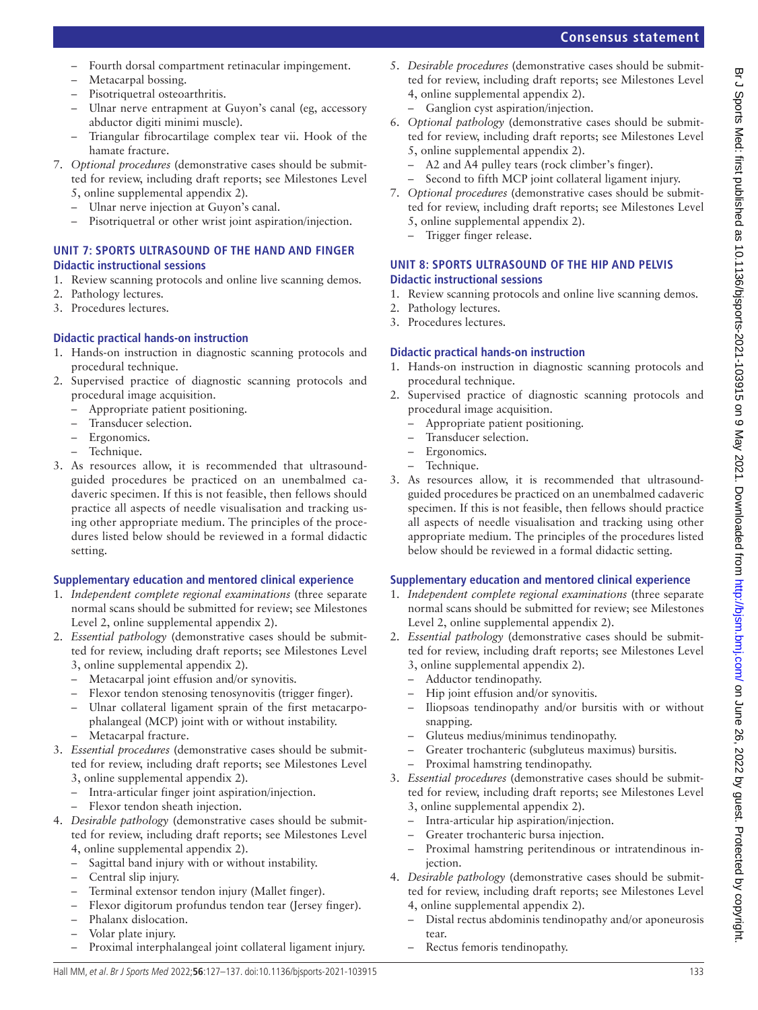- Fourth dorsal compartment retinacular impingement.
- Metacarpal bossing.
- Pisotriquetral osteoarthritis.
- Ulnar nerve entrapment at Guyon's canal (eg, accessory abductor digiti minimi muscle).
- Triangular fibrocartilage complex tear vii. Hook of the hamate fracture.
- 7. *Optional procedures* (demonstrative cases should be submitted for review, including draft reports; see Milestones Level 5, [online supplemental appendix 2\)](https://dx.doi.org/10.1136/bjsports-2021-103915).
	- Ulnar nerve injection at Guyon's canal.
	- Pisotriquetral or other wrist joint aspiration/injection.

### **UNIT 7: SPORTS ULTRASOUND OF THE HAND AND FINGER Didactic instructional sessions**

- 1. Review scanning protocols and online live scanning demos.
- 2. Pathology lectures.
- 3. Procedures lectures.

### **Didactic practical hands-on instruction**

- 1. Hands-on instruction in diagnostic scanning protocols and procedural technique.
- 2. Supervised practice of diagnostic scanning protocols and procedural image acquisition.
	- Appropriate patient positioning.
	- Transducer selection.
	- Ergonomics.
	- Technique.
- 3. As resources allow, it is recommended that ultrasoundguided procedures be practiced on an unembalmed cadaveric specimen. If this is not feasible, then fellows should practice all aspects of needle visualisation and tracking using other appropriate medium. The principles of the procedures listed below should be reviewed in a formal didactic setting.

### **Supplementary education and mentored clinical experience**

- 1. *Independent complete regional examinations* (three separate normal scans should be submitted for review; see Milestones Level 2, [online supplemental appendix 2\)](https://dx.doi.org/10.1136/bjsports-2021-103915).
- 2. *Essential pathology* (demonstrative cases should be submitted for review, including draft reports; see Milestones Level 3, [online supplemental appendix 2\)](https://dx.doi.org/10.1136/bjsports-2021-103915).
	- Metacarpal joint effusion and/or synovitis.
	- Flexor tendon stenosing tenosynovitis (trigger finger).
	- Ulnar collateral ligament sprain of the first metacarpophalangeal (MCP) joint with or without instability.
	- Metacarpal fracture.
- 3. *Essential procedures* (demonstrative cases should be submitted for review, including draft reports; see Milestones Level 3, [online supplemental appendix 2\)](https://dx.doi.org/10.1136/bjsports-2021-103915).
	- Intra-articular finger joint aspiration/injection.
	- Flexor tendon sheath injection.
- 4. *Desirable pathology* (demonstrative cases should be submitted for review, including draft reports; see Milestones Level 4, [online supplemental appendix 2\)](https://dx.doi.org/10.1136/bjsports-2021-103915).
	- Sagittal band injury with or without instability.
	- Central slip injury.
	- Terminal extensor tendon injury (Mallet finger).
	- Flexor digitorum profundus tendon tear (Jersey finger).
	- Phalanx dislocation.
	- Volar plate injury.
	- Proximal interphalangeal joint collateral ligament injury.
- 5. *Desirable procedures* (demonstrative cases should be submitted for review, including draft reports; see Milestones Level 4, [online supplemental appendix 2](https://dx.doi.org/10.1136/bjsports-2021-103915)).
	- Ganglion cyst aspiration/injection.
- 6. *Optional pathology* (demonstrative cases should be submitted for review, including draft reports; see Milestones Level 5, [online supplemental appendix 2](https://dx.doi.org/10.1136/bjsports-2021-103915)).
	- A2 and A4 pulley tears (rock climber's finger).
		- Second to fifth MCP joint collateral ligament injury.
- 7. *Optional procedures* (demonstrative cases should be submitted for review, including draft reports; see Milestones Level 5, [online supplemental appendix 2](https://dx.doi.org/10.1136/bjsports-2021-103915)).
	- Trigger finger release.

### **UNIT 8: SPORTS ULTRASOUND OF THE HIP AND PELVIS Didactic instructional sessions**

- 1. Review scanning protocols and online live scanning demos.
- 2. Pathology lectures.
- 3. Procedures lectures.

### **Didactic practical hands-on instruction**

- 1. Hands-on instruction in diagnostic scanning protocols and procedural technique.
- 2. Supervised practice of diagnostic scanning protocols and procedural image acquisition.
	- Appropriate patient positioning.
	- Transducer selection.
	- Ergonomics.
	- Technique.
- 3. As resources allow, it is recommended that ultrasoundguided procedures be practiced on an unembalmed cadaveric specimen. If this is not feasible, then fellows should practice all aspects of needle visualisation and tracking using other appropriate medium. The principles of the procedures listed below should be reviewed in a formal didactic setting.

- 1. *Independent complete regional examinations* (three separate normal scans should be submitted for review; see Milestones Level 2, [online supplemental appendix 2](https://dx.doi.org/10.1136/bjsports-2021-103915)).
- 2. *Essential pathology* (demonstrative cases should be submitted for review, including draft reports; see Milestones Level 3, [online supplemental appendix 2](https://dx.doi.org/10.1136/bjsports-2021-103915)).
	- Adductor tendinopathy.
	- Hip joint effusion and/or synovitis.
	- Iliopsoas tendinopathy and/or bursitis with or without snapping.
	- Gluteus medius/minimus tendinopathy.
	- Greater trochanteric (subgluteus maximus) bursitis.
	- Proximal hamstring tendinopathy.
- 3. *Essential procedures* (demonstrative cases should be submitted for review, including draft reports; see Milestones Level 3, [online supplemental appendix 2](https://dx.doi.org/10.1136/bjsports-2021-103915)).
	- Intra-articular hip aspiration/injection.
	- Greater trochanteric bursa injection.
	- Proximal hamstring peritendinous or intratendinous injection.
- 4. *Desirable pathology* (demonstrative cases should be submitted for review, including draft reports; see Milestones Level 4, [online supplemental appendix 2](https://dx.doi.org/10.1136/bjsports-2021-103915)).
	- Distal rectus abdominis tendinopathy and/or aponeurosis tear.
	- Rectus femoris tendinopathy.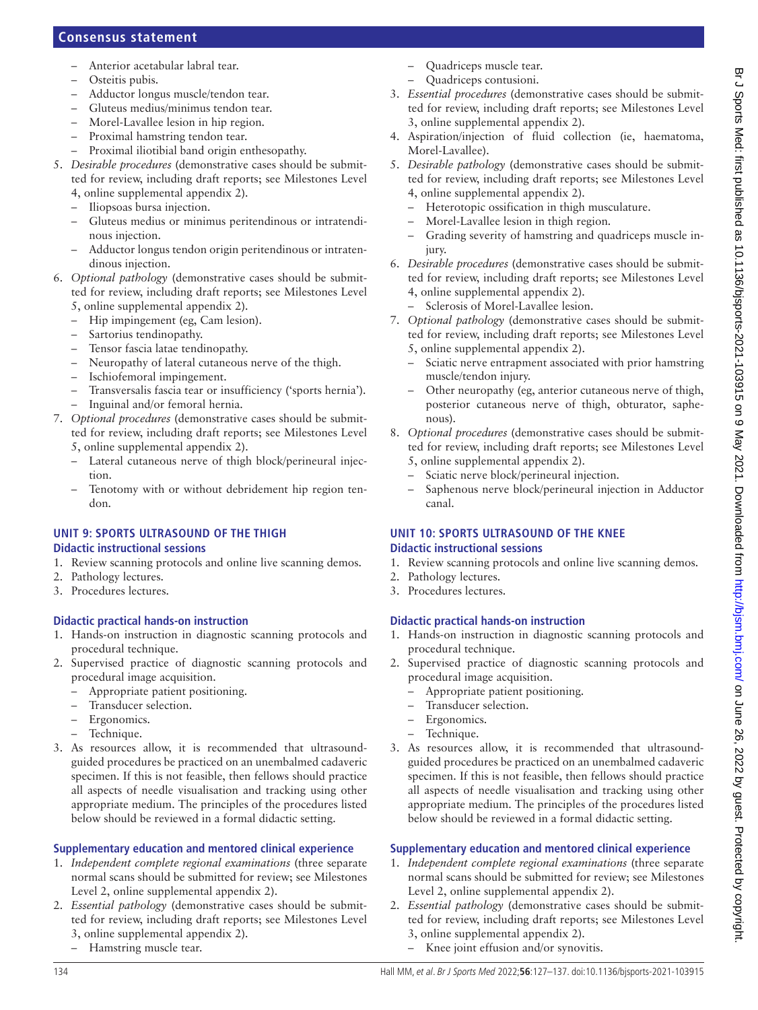- Anterior acetabular labral tear.
- Osteitis pubis.
- Adductor longus muscle/tendon tear.
- Gluteus medius/minimus tendon tear.
- Morel-Lavallee lesion in hip region.
- Proximal hamstring tendon tear.
- Proximal iliotibial band origin enthesopathy.
- 5. *Desirable procedures* (demonstrative cases should be submitted for review, including draft reports; see Milestones Level 4, [online supplemental appendix 2\)](https://dx.doi.org/10.1136/bjsports-2021-103915).
	- Iliopsoas bursa injection.
	- Gluteus medius or minimus peritendinous or intratendinous injection.
	- Adductor longus tendon origin peritendinous or intratendinous injection.
- 6. *Optional pathology* (demonstrative cases should be submitted for review, including draft reports; see Milestones Level 5, [online supplemental appendix 2\)](https://dx.doi.org/10.1136/bjsports-2021-103915).
	- Hip impingement (eg, Cam lesion).
	- Sartorius tendinopathy.
	- Tensor fascia latae tendinopathy.
	- Neuropathy of lateral cutaneous nerve of the thigh.
	- Ischiofemoral impingement.
	- Transversalis fascia tear or insufficiency ('sports hernia').
	- Inguinal and/or femoral hernia.
- 7. *Optional procedures* (demonstrative cases should be submitted for review, including draft reports; see Milestones Level 5, [online supplemental appendix 2\)](https://dx.doi.org/10.1136/bjsports-2021-103915).
	- Lateral cutaneous nerve of thigh block/perineural injection.
	- Tenotomy with or without debridement hip region tendon.

# **UNIT 9: SPORTS ULTRASOUND OF THE THIGH**

### **Didactic instructional sessions**

- 1. Review scanning protocols and online live scanning demos.
- 2. Pathology lectures.
- 3. Procedures lectures.

### **Didactic practical hands-on instruction**

- 1. Hands-on instruction in diagnostic scanning protocols and procedural technique.
- 2. Supervised practice of diagnostic scanning protocols and procedural image acquisition.
	- Appropriate patient positioning.
	- Transducer selection.
	- Ergonomics.
	- Technique.
- 3. As resources allow, it is recommended that ultrasoundguided procedures be practiced on an unembalmed cadaveric specimen. If this is not feasible, then fellows should practice all aspects of needle visualisation and tracking using other appropriate medium. The principles of the procedures listed below should be reviewed in a formal didactic setting.

### **Supplementary education and mentored clinical experience**

- 1. *Independent complete regional examinations* (three separate normal scans should be submitted for review; see Milestones Level 2, [online supplemental appendix 2\)](https://dx.doi.org/10.1136/bjsports-2021-103915).
- 2. *Essential pathology* (demonstrative cases should be submitted for review, including draft reports; see Milestones Level 3, [online supplemental appendix 2\)](https://dx.doi.org/10.1136/bjsports-2021-103915).
	- Hamstring muscle tear.
- Quadriceps muscle tear.
- Quadriceps contusioni.
- 3. *Essential procedures* (demonstrative cases should be submitted for review, including draft reports; see Milestones Level 3, [online supplemental appendix 2](https://dx.doi.org/10.1136/bjsports-2021-103915)).
- 4. Aspiration/injection of fluid collection (ie, haematoma, Morel-Lavallee).
- 5. *Desirable pathology* (demonstrative cases should be submitted for review, including draft reports; see Milestones Level 4, [online supplemental appendix 2](https://dx.doi.org/10.1136/bjsports-2021-103915)).
	- Heterotopic ossification in thigh musculature.
	- Morel-Lavallee lesion in thigh region.
	- Grading severity of hamstring and quadriceps muscle injury.
- 6. *Desirable procedures* (demonstrative cases should be submitted for review, including draft reports; see Milestones Level 4, [online supplemental appendix 2](https://dx.doi.org/10.1136/bjsports-2021-103915)).
	- Sclerosis of Morel-Lavallee lesion.
- 7. *Optional pathology* (demonstrative cases should be submitted for review, including draft reports; see Milestones Level 5, [online supplemental appendix 2](https://dx.doi.org/10.1136/bjsports-2021-103915)).
	- Sciatic nerve entrapment associated with prior hamstring muscle/tendon injury.
	- Other neuropathy (eg, anterior cutaneous nerve of thigh, posterior cutaneous nerve of thigh, obturator, saphenous).
- 8. *Optional procedures* (demonstrative cases should be submitted for review, including draft reports; see Milestones Level 5, [online supplemental appendix 2](https://dx.doi.org/10.1136/bjsports-2021-103915)).
	- Sciatic nerve block/perineural injection.
	- Saphenous nerve block/perineural injection in Adductor canal.

### **UNIT 10: SPORTS ULTRASOUND OF THE KNEE Didactic instructional sessions**

- 1. Review scanning protocols and online live scanning demos.
- 2. Pathology lectures.
- 3. Procedures lectures.

### **Didactic practical hands-on instruction**

- 1. Hands-on instruction in diagnostic scanning protocols and procedural technique.
- 2. Supervised practice of diagnostic scanning protocols and procedural image acquisition.
	- Appropriate patient positioning.
	- Transducer selection.
	- Ergonomics.
	- Technique.
- 3. As resources allow, it is recommended that ultrasoundguided procedures be practiced on an unembalmed cadaveric specimen. If this is not feasible, then fellows should practice all aspects of needle visualisation and tracking using other appropriate medium. The principles of the procedures listed below should be reviewed in a formal didactic setting.

- 1. *Independent complete regional examinations* (three separate normal scans should be submitted for review; see Milestones Level 2, [online supplemental appendix 2](https://dx.doi.org/10.1136/bjsports-2021-103915)).
- 2. *Essential pathology* (demonstrative cases should be submitted for review, including draft reports; see Milestones Level 3, [online supplemental appendix 2](https://dx.doi.org/10.1136/bjsports-2021-103915)).
	- Knee joint effusion and/or synovitis.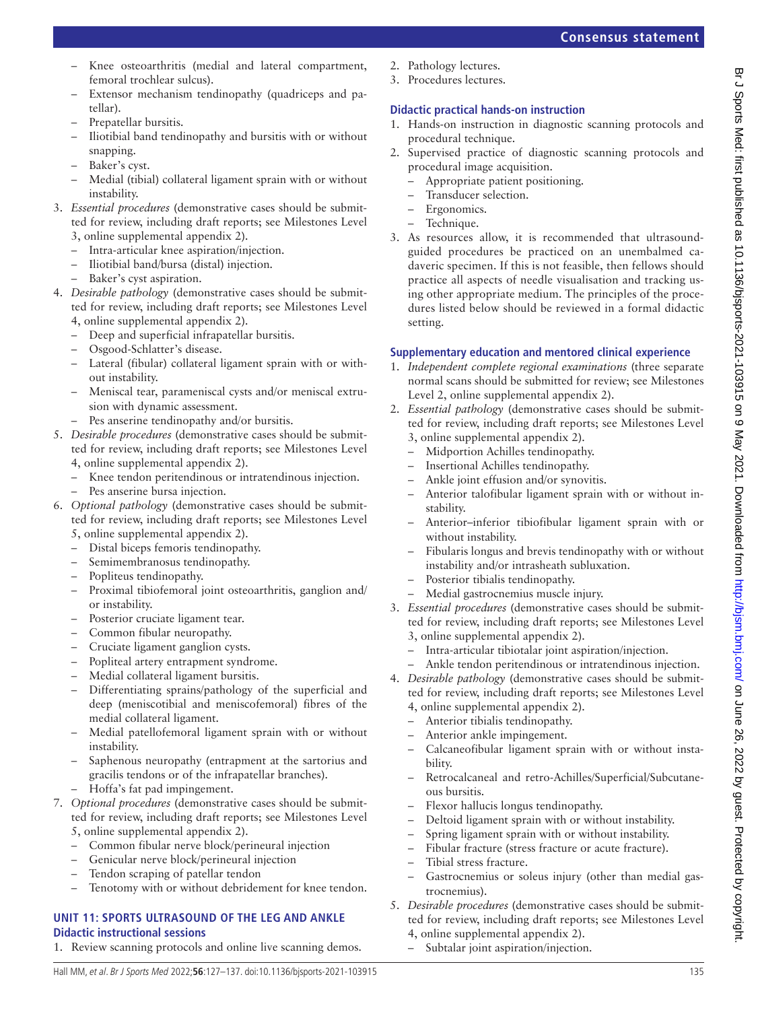#### Knee osteoarthritis (medial and lateral compartment, femoral trochlear sulcus).

- Extensor mechanism tendinopathy (quadriceps and patellar).
- Prepatellar bursitis.
- Iliotibial band tendinopathy and bursitis with or without snapping.
- Baker's cyst.
- Medial (tibial) collateral ligament sprain with or without instability.
- 3. *Essential procedures* (demonstrative cases should be submitted for review, including draft reports; see Milestones Level 3, [online supplemental appendix 2\)](https://dx.doi.org/10.1136/bjsports-2021-103915).
	- Intra-articular knee aspiration/injection.
	- Iliotibial band/bursa (distal) injection.
	- Baker's cyst aspiration.
- 4. *Desirable pathology* (demonstrative cases should be submitted for review, including draft reports; see Milestones Level 4, [online supplemental appendix 2\)](https://dx.doi.org/10.1136/bjsports-2021-103915).
	- Deep and superficial infrapatellar bursitis.
	- Osgood-Schlatter's disease.
	- Lateral (fibular) collateral ligament sprain with or without instability.
	- Meniscal tear, parameniscal cysts and/or meniscal extrusion with dynamic assessment.
		- Pes anserine tendinopathy and/or bursitis.
- 5. *Desirable procedures* (demonstrative cases should be submitted for review, including draft reports; see Milestones Level 4, [online supplemental appendix 2\)](https://dx.doi.org/10.1136/bjsports-2021-103915).
	- Knee tendon peritendinous or intratendinous injection.
	- Pes anserine bursa injection.
- 6. *Optional pathology* (demonstrative cases should be submitted for review, including draft reports; see Milestones Level
	- 5, [online supplemental appendix 2\)](https://dx.doi.org/10.1136/bjsports-2021-103915).
	- Distal biceps femoris tendinopathy.
	- Semimembranosus tendinopathy.
	- Popliteus tendinopathy.
	- Proximal tibiofemoral joint osteoarthritis, ganglion and/ or instability.
	- Posterior cruciate ligament tear.
	- Common fibular neuropathy.
	- Cruciate ligament ganglion cysts.
	- Popliteal artery entrapment syndrome.
	- Medial collateral ligament bursitis.
	- Differentiating sprains/pathology of the superficial and deep (meniscotibial and meniscofemoral) fibres of the medial collateral ligament.
	- Medial patellofemoral ligament sprain with or without instability.
	- Saphenous neuropathy (entrapment at the sartorius and gracilis tendons or of the infrapatellar branches).
	- Hoffa's fat pad impingement.
- 7. *Optional procedures* (demonstrative cases should be submitted for review, including draft reports; see Milestones Level 5, [online supplemental appendix 2\)](https://dx.doi.org/10.1136/bjsports-2021-103915).
	- Common fibular nerve block/perineural injection
	- Genicular nerve block/perineural injection
	- Tendon scraping of patellar tendon
	- Tenotomy with or without debridement for knee tendon.

### **UNIT 11: SPORTS ULTRASOUND OF THE LEG AND ANKLE Didactic instructional sessions**

1. Review scanning protocols and online live scanning demos.

- 2. Pathology lectures.
- 3. Procedures lectures.

### **Didactic practical hands-on instruction**

- 1. Hands-on instruction in diagnostic scanning protocols and procedural technique.
- 2. Supervised practice of diagnostic scanning protocols and procedural image acquisition.
	- Appropriate patient positioning.
	- Transducer selection.
	- Ergonomics.
	- Technique.
- 3. As resources allow, it is recommended that ultrasoundguided procedures be practiced on an unembalmed cadaveric specimen. If this is not feasible, then fellows should practice all aspects of needle visualisation and tracking using other appropriate medium. The principles of the procedures listed below should be reviewed in a formal didactic setting.

- 1. *Independent complete regional examinations* (three separate normal scans should be submitted for review; see Milestones Level 2, [online supplemental appendix 2](https://dx.doi.org/10.1136/bjsports-2021-103915)).
- 2. *Essential pathology* (demonstrative cases should be submitted for review, including draft reports; see Milestones Level 3, [online supplemental appendix 2](https://dx.doi.org/10.1136/bjsports-2021-103915)).
	- Midportion Achilles tendinopathy.
	- Insertional Achilles tendinopathy.
	- Ankle joint effusion and/or synovitis.
	- Anterior talofibular ligament sprain with or without instability.
	- Anterior–inferior tibiofibular ligament sprain with or without instability.
	- Fibularis longus and brevis tendinopathy with or without instability and/or intrasheath subluxation.
	- Posterior tibialis tendinopathy.
	- Medial gastrocnemius muscle injury.
- 3. *Essential procedures* (demonstrative cases should be submitted for review, including draft reports; see Milestones Level 3, [online supplemental appendix 2](https://dx.doi.org/10.1136/bjsports-2021-103915)).
	- Intra-articular tibiotalar joint aspiration/injection.
	- Ankle tendon peritendinous or intratendinous injection.
- 4. *Desirable pathology* (demonstrative cases should be submitted for review, including draft reports; see Milestones Level 4, [online supplemental appendix 2](https://dx.doi.org/10.1136/bjsports-2021-103915)).
	- Anterior tibialis tendinopathy.
	- Anterior ankle impingement.
	- Calcaneofibular ligament sprain with or without instability.
	- Retrocalcaneal and retro-Achilles/Superficial/Subcutaneous bursitis.
	- Flexor hallucis longus tendinopathy.
	- Deltoid ligament sprain with or without instability.
	- Spring ligament sprain with or without instability.
		- Fibular fracture (stress fracture or acute fracture).
	- Tibial stress fracture.
	- Gastrocnemius or soleus injury (other than medial gastrocnemius).
- 5. *Desirable procedures* (demonstrative cases should be submitted for review, including draft reports; see Milestones Level 4, [online supplemental appendix 2](https://dx.doi.org/10.1136/bjsports-2021-103915)).
	- Subtalar joint aspiration/injection.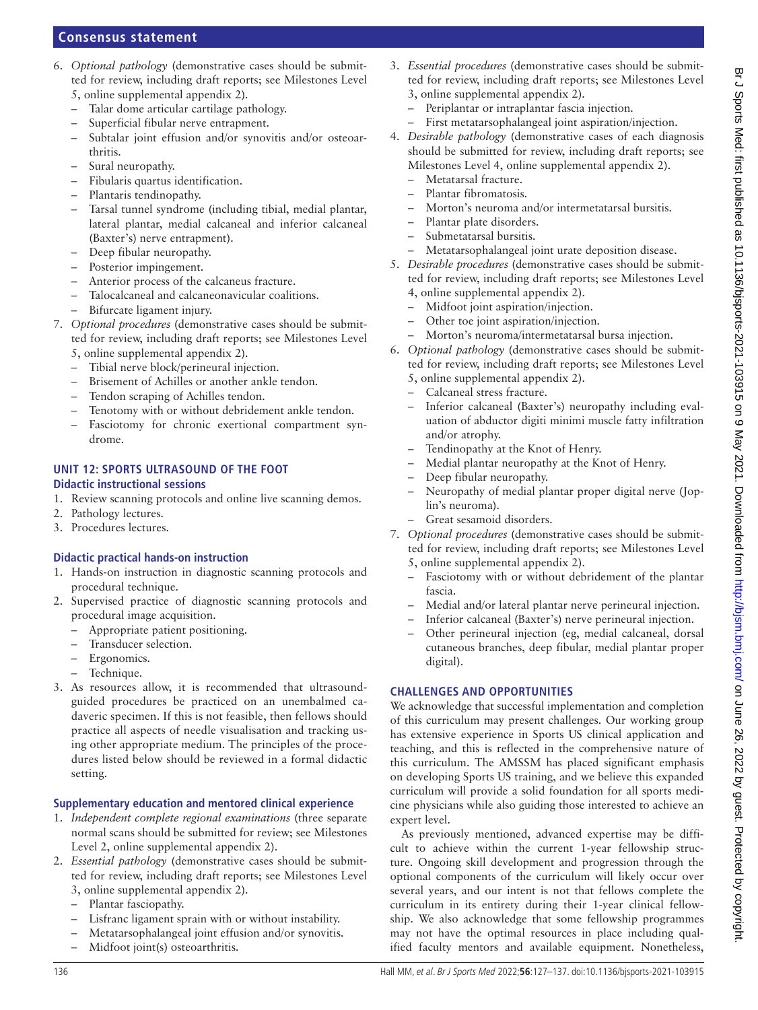- 6. *Optional pathology* (demonstrative cases should be submitted for review, including draft reports; see Milestones Level
	- 5, [online supplemental appendix 2\)](https://dx.doi.org/10.1136/bjsports-2021-103915).
	- Talar dome articular cartilage pathology.
	- Superficial fibular nerve entrapment.
	- Subtalar joint effusion and/or synovitis and/or osteoarthritis.
	- Sural neuropathy.
	- Fibularis quartus identification.
	- Plantaris tendinopathy.
	- Tarsal tunnel syndrome (including tibial, medial plantar, lateral plantar, medial calcaneal and inferior calcaneal (Baxter's) nerve entrapment).
	- Deep fibular neuropathy.
	- Posterior impingement.
	- Anterior process of the calcaneus fracture.
	- Talocalcaneal and calcaneonavicular coalitions.
	- Bifurcate ligament injury.
- 7. *Optional procedures* (demonstrative cases should be submitted for review, including draft reports; see Milestones Level 5, [online supplemental appendix 2\)](https://dx.doi.org/10.1136/bjsports-2021-103915).
	- Tibial nerve block/perineural injection.
	- Brisement of Achilles or another ankle tendon.
	- Tendon scraping of Achilles tendon.
	- Tenotomy with or without debridement ankle tendon.
	- Fasciotomy for chronic exertional compartment syndrome.

#### **UNIT 12: SPORTS ULTRASOUND OF THE FOOT Didactic instructional sessions**

- 1. Review scanning protocols and online live scanning demos.
- 2. Pathology lectures.
- 3. Procedures lectures.

### **Didactic practical hands-on instruction**

- 1. Hands-on instruction in diagnostic scanning protocols and procedural technique.
- 2. Supervised practice of diagnostic scanning protocols and procedural image acquisition.
	- Appropriate patient positioning.
	- Transducer selection.
	- Ergonomics.
	- Technique.
- 3. As resources allow, it is recommended that ultrasoundguided procedures be practiced on an unembalmed cadaveric specimen. If this is not feasible, then fellows should practice all aspects of needle visualisation and tracking using other appropriate medium. The principles of the procedures listed below should be reviewed in a formal didactic setting.

### **Supplementary education and mentored clinical experience**

- 1. *Independent complete regional examinations* (three separate normal scans should be submitted for review; see Milestones Level 2, [online supplemental appendix 2\)](https://dx.doi.org/10.1136/bjsports-2021-103915).
- 2. *Essential pathology* (demonstrative cases should be submitted for review, including draft reports; see Milestones Level 3, [online supplemental appendix 2\)](https://dx.doi.org/10.1136/bjsports-2021-103915).
	- Plantar fasciopathy.
	- Lisfranc ligament sprain with or without instability.
	- Metatarsophalangeal joint effusion and/or synovitis.
	- Midfoot joint(s) osteoarthritis.
- 3. *Essential procedures* (demonstrative cases should be submitted for review, including draft reports; see Milestones Level 3, [online supplemental appendix 2](https://dx.doi.org/10.1136/bjsports-2021-103915)).
	- Periplantar or intraplantar fascia injection.
	- First metatarsophalangeal joint aspiration/injection.
- 4. *Desirable pathology* (demonstrative cases of each diagnosis should be submitted for review, including draft reports; see Milestones Level 4, [online supplemental appendix 2\)](https://dx.doi.org/10.1136/bjsports-2021-103915).
	- Metatarsal fracture.
	- Plantar fibromatosis.
	- Morton's neuroma and/or intermetatarsal bursitis.
	- Plantar plate disorders.
	- Submetatarsal bursitis.
	- Metatarsophalangeal joint urate deposition disease.
- 5. *Desirable procedures* (demonstrative cases should be submitted for review, including draft reports; see Milestones Level 4, [online supplemental appendix 2](https://dx.doi.org/10.1136/bjsports-2021-103915)).
	- Midfoot joint aspiration/injection.
	- Other toe joint aspiration/injection.
	- Morton's neuroma/intermetatarsal bursa injection.
- 6. *Optional pathology* (demonstrative cases should be submitted for review, including draft reports; see Milestones Level 5, [online supplemental appendix 2](https://dx.doi.org/10.1136/bjsports-2021-103915)).
	- Calcaneal stress fracture.
	- Inferior calcaneal (Baxter's) neuropathy including evaluation of abductor digiti minimi muscle fatty infiltration and/or atrophy.
	- Tendinopathy at the Knot of Henry.
		- Medial plantar neuropathy at the Knot of Henry.
	- Deep fibular neuropathy.
	- Neuropathy of medial plantar proper digital nerve (Joplin's neuroma).
	- Great sesamoid disorders.
- 7. *Optional procedures* (demonstrative cases should be submitted for review, including draft reports; see Milestones Level 5, [online supplemental appendix 2](https://dx.doi.org/10.1136/bjsports-2021-103915)).
	- Fasciotomy with or without debridement of the plantar fascia.
	- Medial and/or lateral plantar nerve perineural injection.
	- Inferior calcaneal (Baxter's) nerve perineural injection.
	- Other perineural injection (eg, medial calcaneal, dorsal cutaneous branches, deep fibular, medial plantar proper digital).

### **CHALLENGES AND OPPORTUNITIES**

We acknowledge that successful implementation and completion of this curriculum may present challenges. Our working group has extensive experience in Sports US clinical application and teaching, and this is reflected in the comprehensive nature of this curriculum. The AMSSM has placed significant emphasis on developing Sports US training, and we believe this expanded curriculum will provide a solid foundation for all sports medicine physicians while also guiding those interested to achieve an expert level.

As previously mentioned, advanced expertise may be difficult to achieve within the current 1-year fellowship structure. Ongoing skill development and progression through the optional components of the curriculum will likely occur over several years, and our intent is not that fellows complete the curriculum in its entirety during their 1-year clinical fellowship. We also acknowledge that some fellowship programmes may not have the optimal resources in place including qualified faculty mentors and available equipment. Nonetheless,